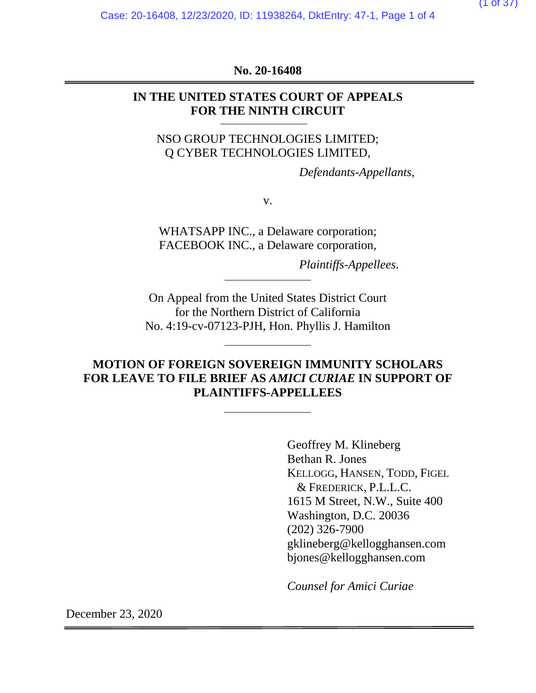Case: 20-16408, 12/23/2020, ID: 11938264, DktEntry: 47-1, Page 1 of 4

**No. 20-16408** 

### **IN THE UNITED STATES COURT OF APPEALS FOR THE NINTH CIRCUIT**

NSO GROUP TECHNOLOGIES LIMITED; Q CYBER TECHNOLOGIES LIMITED,

*Defendants-Appellants*,

v.

WHATSAPP INC., a Delaware corporation; FACEBOOK INC., a Delaware corporation,

*Plaintiffs-Appellees*.

On Appeal from the United States District Court for the Northern District of California No. 4:19-cv-07123-PJH, Hon. Phyllis J. Hamilton

# **MOTION OF FOREIGN SOVEREIGN IMMUNITY SCHOLARS FOR LEAVE TO FILE BRIEF AS** *AMICI CURIAE* **IN SUPPORT OF PLAINTIFFS-APPELLEES**

Geoffrey M. Klineberg Bethan R. Jones KELLOGG, HANSEN, TODD, FIGEL & FREDERICK, P.L.L.C. 1615 M Street, N.W., Suite 400 Washington, D.C. 20036 (202) 326-7900 gklineberg@kellogghansen.com bjones@kellogghansen.com

*Counsel for Amici Curiae*

December 23, 2020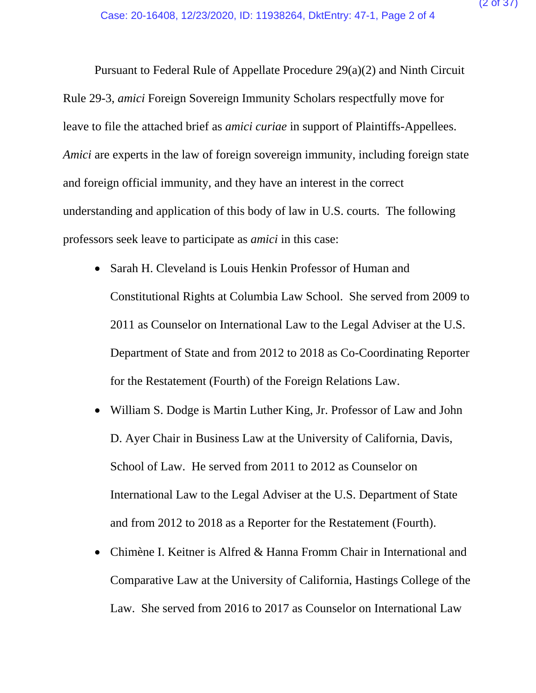Pursuant to Federal Rule of Appellate Procedure 29(a)(2) and Ninth Circuit Rule 29-3, *amici* Foreign Sovereign Immunity Scholars respectfully move for leave to file the attached brief as *amici curiae* in support of Plaintiffs-Appellees. *Amici* are experts in the law of foreign sovereign immunity, including foreign state and foreign official immunity, and they have an interest in the correct understanding and application of this body of law in U.S. courts. The following professors seek leave to participate as *amici* in this case:

- Sarah H. Cleveland is Louis Henkin Professor of Human and Constitutional Rights at Columbia Law School. She served from 2009 to 2011 as Counselor on International Law to the Legal Adviser at the U.S. Department of State and from 2012 to 2018 as Co-Coordinating Reporter for the Restatement (Fourth) of the Foreign Relations Law.
- William S. Dodge is Martin Luther King, Jr. Professor of Law and John D. Ayer Chair in Business Law at the University of California, Davis, School of Law. He served from 2011 to 2012 as Counselor on International Law to the Legal Adviser at the U.S. Department of State and from 2012 to 2018 as a Reporter for the Restatement (Fourth).
- Chimène I. Keitner is Alfred & Hanna Fromm Chair in International and Comparative Law at the University of California, Hastings College of the Law. She served from 2016 to 2017 as Counselor on International Law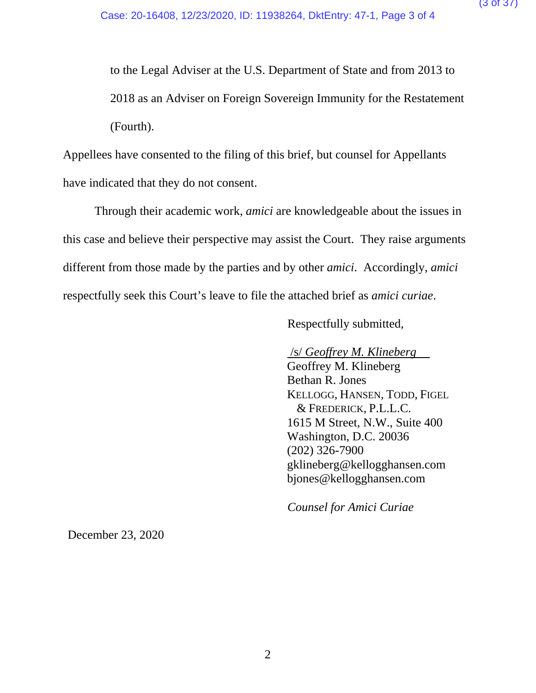to the Legal Adviser at the U.S. Department of State and from 2013 to 2018 as an Adviser on Foreign Sovereign Immunity for the Restatement (Fourth).

Appellees have consented to the filing of this brief, but counsel for Appellants have indicated that they do not consent.

Through their academic work, *amici* are knowledgeable about the issues in this case and believe their perspective may assist the Court. They raise arguments different from those made by the parties and by other *amici*. Accordingly, *amici* respectfully seek this Court's leave to file the attached brief as *amici curiae*.

Respectfully submitted,

/s/ *Geoffrey M. Klineberg*

Geoffrey M. Klineberg Bethan R. Jones KELLOGG, HANSEN, TODD, FIGEL & FREDERICK, P.L.L.C. 1615 M Street, N.W., Suite 400 Washington, D.C. 20036 (202) 326-7900 gklineberg@kellogghansen.com bjones@kellogghansen.com

*Counsel for Amici Curiae*

December 23, 2020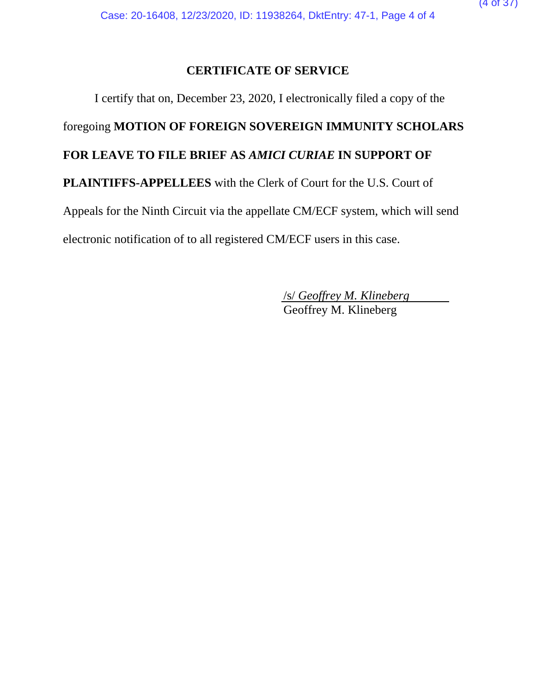# **CERTIFICATE OF SERVICE**

I certify that on, December 23, 2020, I electronically filed a copy of the foregoing **MOTION OF FOREIGN SOVEREIGN IMMUNITY SCHOLARS FOR LEAVE TO FILE BRIEF AS** *AMICI CURIAE* **IN SUPPORT OF PLAINTIFFS-APPELLEES** with the Clerk of Court for the U.S. Court of Appeals for the Ninth Circuit via the appellate CM/ECF system, which will send electronic notification of to all registered CM/ECF users in this case.

 /s/ *Geoffrey M. Klineberg* Geoffrey M. Klineberg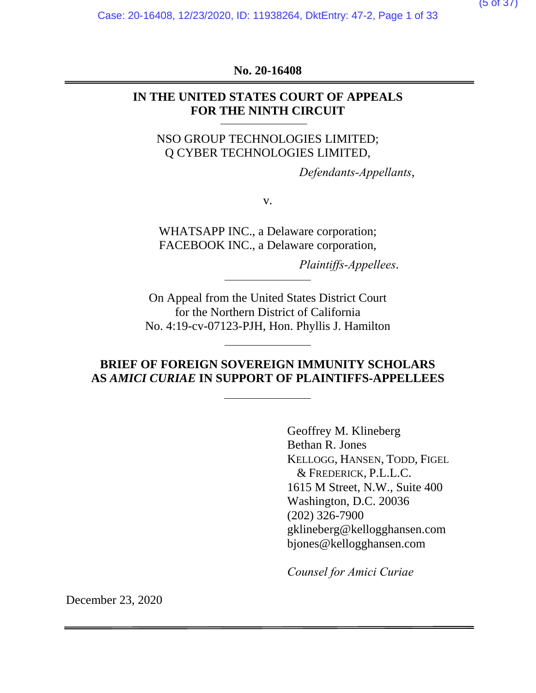**No. 20-16408** 

### **IN THE UNITED STATES COURT OF APPEALS FOR THE NINTH CIRCUIT**

NSO GROUP TECHNOLOGIES LIMITED; Q CYBER TECHNOLOGIES LIMITED,

*Defendants-Appellants*,

v.

WHATSAPP INC., a Delaware corporation; FACEBOOK INC., a Delaware corporation,

*Plaintiffs-Appellees*.

On Appeal from the United States District Court for the Northern District of California No. 4:19-cv-07123-PJH, Hon. Phyllis J. Hamilton

# **BRIEF OF FOREIGN SOVEREIGN IMMUNITY SCHOLARS AS** *AMICI CURIAE* **IN SUPPORT OF PLAINTIFFS-APPELLEES**

Geoffrey M. Klineberg Bethan R. Jones KELLOGG, HANSEN, TODD, FIGEL & FREDERICK, P.L.L.C. 1615 M Street, N.W., Suite 400 Washington, D.C. 20036 (202) 326-7900 gklineberg@kellogghansen.com bjones@kellogghansen.com

*Counsel for Amici Curiae*

December 23, 2020

 $(5 \text{ of } 3)$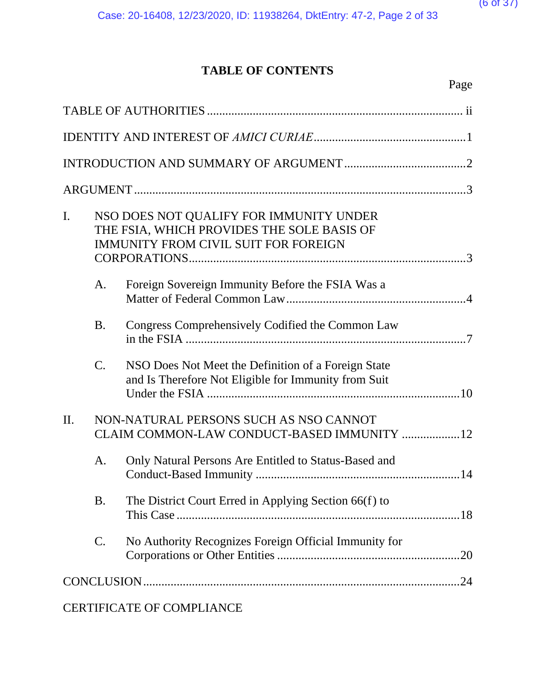# **TABLE OF CONTENTS**

|  | Page |
|--|------|
|  |      |

| $\mathbf{I}$ . |                 | NSO DOES NOT QUALIFY FOR IMMUNITY UNDER<br>THE FSIA, WHICH PROVIDES THE SOLE BASIS OF<br><b>IMMUNITY FROM CIVIL SUIT FOR FOREIGN</b> |
|----------------|-----------------|--------------------------------------------------------------------------------------------------------------------------------------|
|                | A.              | Foreign Sovereign Immunity Before the FSIA Was a                                                                                     |
|                | <b>B.</b>       | Congress Comprehensively Codified the Common Law                                                                                     |
|                | $\mathcal{C}$ . | NSO Does Not Meet the Definition of a Foreign State<br>and Is Therefore Not Eligible for Immunity from Suit                          |
| II.            |                 | NON-NATURAL PERSONS SUCH AS NSO CANNOT<br>CLAIM COMMON-LAW CONDUCT-BASED IMMUNITY 12                                                 |
|                | A.              | Only Natural Persons Are Entitled to Status-Based and                                                                                |
|                | <b>B.</b>       | The District Court Erred in Applying Section 66(f) to                                                                                |
|                | $\mathsf{C}.$   | No Authority Recognizes Foreign Official Immunity for<br>.20                                                                         |
|                |                 |                                                                                                                                      |
|                |                 | <b>CERTIFICATE OF COMPLIANCE</b>                                                                                                     |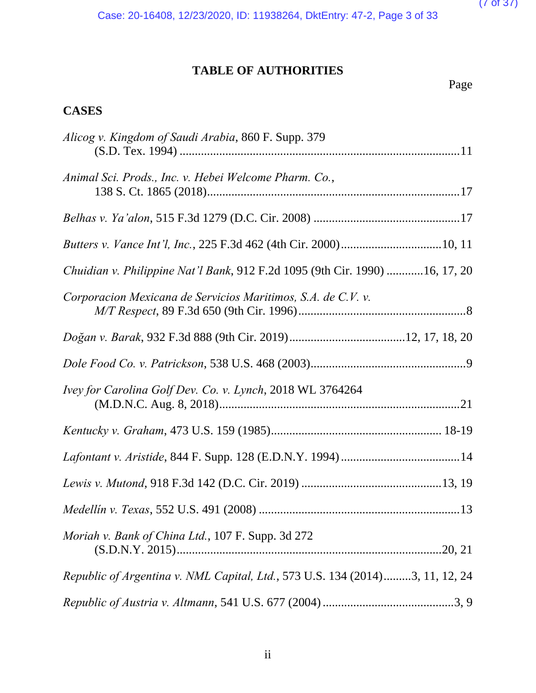$(7$  of 37)

Case: 20-16408, 12/23/2020, ID: 11938264, DktEntry: 47-2, Page 3 of 33

# **TABLE OF AUTHORITIES**

Page

# **CASES**

| Alicog v. Kingdom of Saudi Arabia, 860 F. Supp. 379                          |
|------------------------------------------------------------------------------|
| Animal Sci. Prods., Inc. v. Hebei Welcome Pharm. Co.,                        |
|                                                                              |
|                                                                              |
| Chuidian v. Philippine Nat'l Bank, 912 F.2d 1095 (9th Cir. 1990) 16, 17, 20  |
| Corporacion Mexicana de Servicios Maritimos, S.A. de C.V. v.                 |
|                                                                              |
|                                                                              |
| Ivey for Carolina Golf Dev. Co. v. Lynch, 2018 WL 3764264                    |
|                                                                              |
|                                                                              |
|                                                                              |
|                                                                              |
| <i>Moriah v. Bank of China Ltd., 107 F. Supp. 3d 272</i>                     |
| Republic of Argentina v. NML Capital, Ltd., 573 U.S. 134 (2014)3, 11, 12, 24 |
|                                                                              |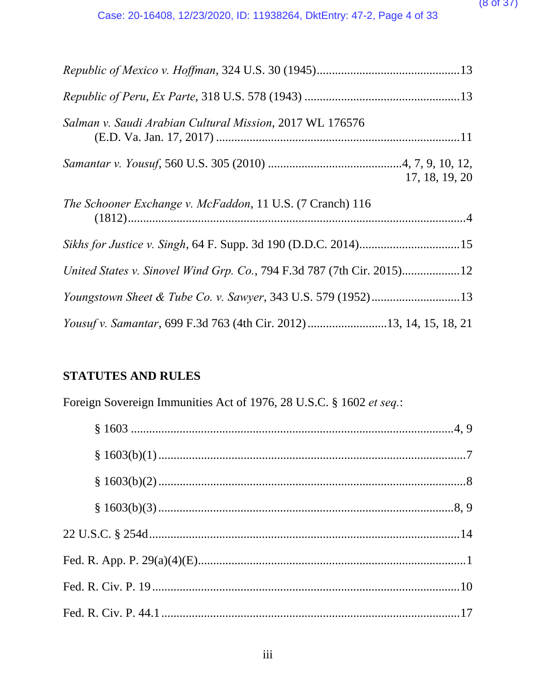#### $(8$  of  $3/$

| Salman v. Saudi Arabian Cultural Mission, 2017 WL 176576               |
|------------------------------------------------------------------------|
| 17, 18, 19, 20                                                         |
| The Schooner Exchange v. McFaddon, 11 U.S. (7 Cranch) 116              |
|                                                                        |
| United States v. Sinovel Wind Grp. Co., 794 F.3d 787 (7th Cir. 2015)12 |
|                                                                        |
| Yousuf v. Samantar, 699 F.3d 763 (4th Cir. 2012) 13, 14, 15, 18, 21    |

# **STATUTES AND RULES**

Foreign Sovereign Immunities Act of 1976, 28 U.S.C. § 1602 *et seq.*: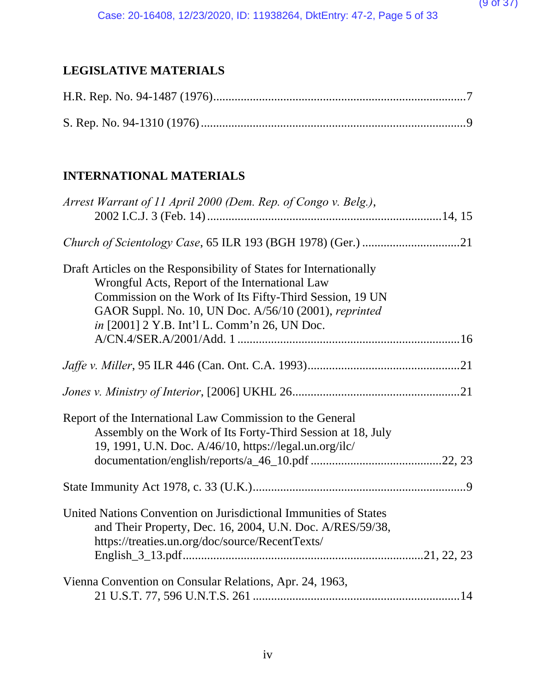# **LEGISLATIVE MATERIALS**

# **INTERNATIONAL MATERIALS**

| Arrest Warrant of 11 April 2000 (Dem. Rep. of Congo v. Belg.),     |  |
|--------------------------------------------------------------------|--|
|                                                                    |  |
| Draft Articles on the Responsibility of States for Internationally |  |
| Wrongful Acts, Report of the International Law                     |  |
| Commission on the Work of Its Fifty-Third Session, 19 UN           |  |
| GAOR Suppl. No. 10, UN Doc. A/56/10 (2001), reprinted              |  |
| in [2001] 2 Y.B. Int'l L. Comm'n 26, UN Doc.                       |  |
|                                                                    |  |
|                                                                    |  |
|                                                                    |  |
|                                                                    |  |
| Report of the International Law Commission to the General          |  |
| Assembly on the Work of Its Forty-Third Session at 18, July        |  |
| 19, 1991, U.N. Doc. A/46/10, https://legal.un.org/ilc/             |  |
|                                                                    |  |
|                                                                    |  |
|                                                                    |  |
| United Nations Convention on Jurisdictional Immunities of States   |  |
| and Their Property, Dec. 16, 2004, U.N. Doc. A/RES/59/38,          |  |
| https://treaties.un.org/doc/source/RecentTexts/                    |  |
|                                                                    |  |
|                                                                    |  |
| Vienna Convention on Consular Relations, Apr. 24, 1963,            |  |
|                                                                    |  |
|                                                                    |  |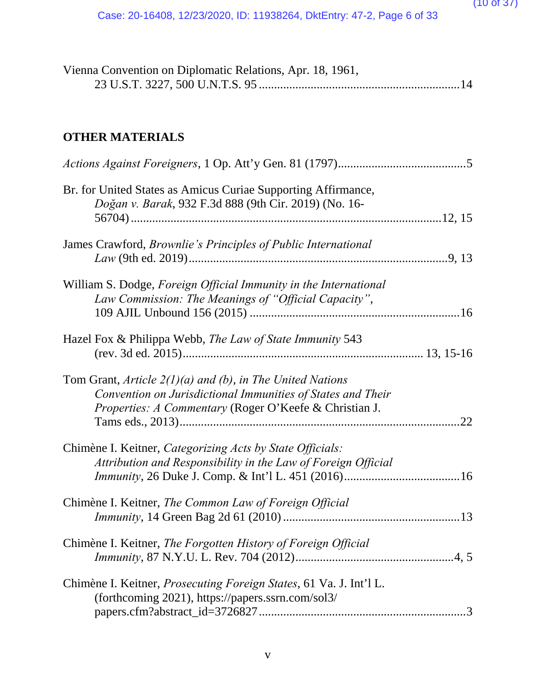| Vienna Convention on Diplomatic Relations, Apr. 18, 1961, |  |
|-----------------------------------------------------------|--|
|                                                           |  |

# **OTHER MATERIALS**

| Br. for United States as Amicus Curiae Supporting Affirmance,<br>Doğan v. Barak, 932 F.3d 888 (9th Cir. 2019) (No. 16-                                                                     |
|--------------------------------------------------------------------------------------------------------------------------------------------------------------------------------------------|
| James Crawford, Brownlie's Principles of Public International                                                                                                                              |
| William S. Dodge, Foreign Official Immunity in the International<br>Law Commission: The Meanings of "Official Capacity",                                                                   |
| Hazel Fox & Philippa Webb, The Law of State Immunity 543                                                                                                                                   |
| Tom Grant, Article $2(1)(a)$ and (b), in The United Nations<br>Convention on Jurisdictional Immunities of States and Their<br>Properties: A Commentary (Roger O'Keefe & Christian J.<br>22 |
| Chimène I. Keitner, Categorizing Acts by State Officials:<br>Attribution and Responsibility in the Law of Foreign Official                                                                 |
| Chimène I. Keitner, The Common Law of Foreign Official                                                                                                                                     |
| Chimène I. Keitner, The Forgotten History of Foreign Official                                                                                                                              |
| Chimène I. Keitner, <i>Prosecuting Foreign States</i> , 61 Va. J. Int'l L.<br>(forthcoming 2021), https://papers.ssrn.com/sol3/                                                            |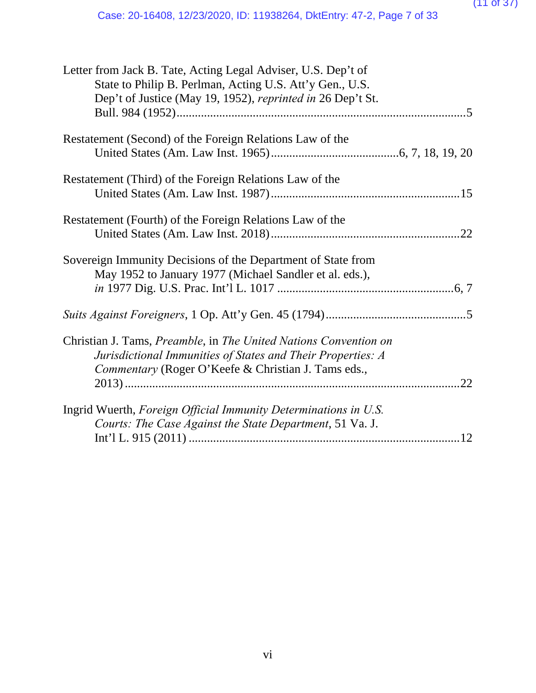| Letter from Jack B. Tate, Acting Legal Adviser, U.S. Dep't of    |
|------------------------------------------------------------------|
| State to Philip B. Perlman, Acting U.S. Att'y Gen., U.S.         |
| Dep't of Justice (May 19, 1952), reprinted in 26 Dep't St.       |
|                                                                  |
|                                                                  |
| Restatement (Second) of the Foreign Relations Law of the         |
|                                                                  |
| Restatement (Third) of the Foreign Relations Law of the          |
|                                                                  |
| Restatement (Fourth) of the Foreign Relations Law of the         |
|                                                                  |
| Sovereign Immunity Decisions of the Department of State from     |
| May 1952 to January 1977 (Michael Sandler et al. eds.),          |
|                                                                  |
|                                                                  |
| Christian J. Tams, Preamble, in The United Nations Convention on |
| Jurisdictional Immunities of States and Their Properties: A      |
| Commentary (Roger O'Keefe & Christian J. Tams eds.,              |
|                                                                  |
| Ingrid Wuerth, Foreign Official Immunity Determinations in U.S.  |
| Courts: The Case Against the State Department, 51 Va. J.         |
| .12                                                              |
|                                                                  |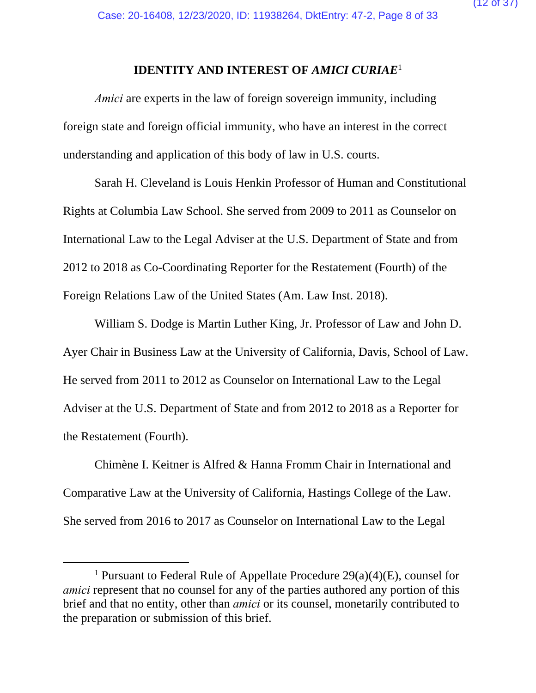#### **IDENTITY AND INTEREST OF** *AMICI CURIAE*<sup>1</sup>

*Amici* are experts in the law of foreign sovereign immunity, including foreign state and foreign official immunity, who have an interest in the correct understanding and application of this body of law in U.S. courts.

Sarah H. Cleveland is Louis Henkin Professor of Human and Constitutional Rights at Columbia Law School. She served from 2009 to 2011 as Counselor on International Law to the Legal Adviser at the U.S. Department of State and from 2012 to 2018 as Co-Coordinating Reporter for the Restatement (Fourth) of the Foreign Relations Law of the United States (Am. Law Inst. 2018).

William S. Dodge is Martin Luther King, Jr. Professor of Law and John D. Ayer Chair in Business Law at the University of California, Davis, School of Law. He served from 2011 to 2012 as Counselor on International Law to the Legal Adviser at the U.S. Department of State and from 2012 to 2018 as a Reporter for the Restatement (Fourth).

Chimène I. Keitner is Alfred & Hanna Fromm Chair in International and Comparative Law at the University of California, Hastings College of the Law. She served from 2016 to 2017 as Counselor on International Law to the Legal

 $\begin{array}{c}\n\hline\n\end{array}$ <sup>1</sup> Pursuant to Federal Rule of Appellate Procedure  $29(a)(4)(E)$ , counsel for *amici* represent that no counsel for any of the parties authored any portion of this brief and that no entity, other than *amici* or its counsel, monetarily contributed to the preparation or submission of this brief.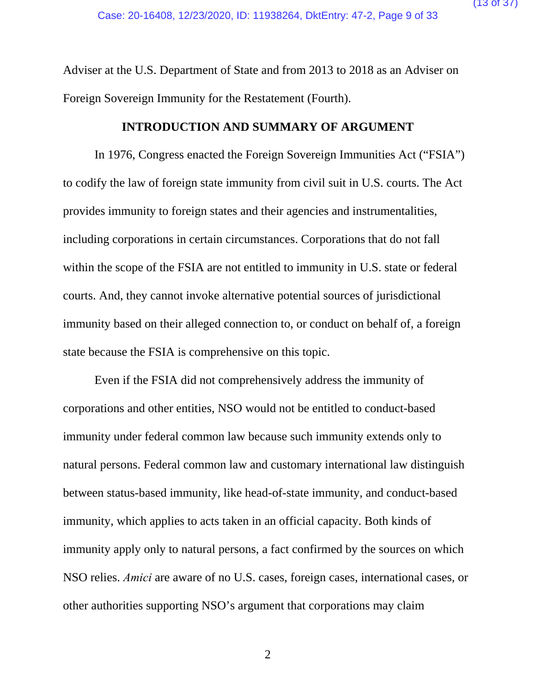Adviser at the U.S. Department of State and from 2013 to 2018 as an Adviser on Foreign Sovereign Immunity for the Restatement (Fourth).

#### **INTRODUCTION AND SUMMARY OF ARGUMENT**

In 1976, Congress enacted the Foreign Sovereign Immunities Act ("FSIA") to codify the law of foreign state immunity from civil suit in U.S. courts. The Act provides immunity to foreign states and their agencies and instrumentalities, including corporations in certain circumstances. Corporations that do not fall within the scope of the FSIA are not entitled to immunity in U.S. state or federal courts. And, they cannot invoke alternative potential sources of jurisdictional immunity based on their alleged connection to, or conduct on behalf of, a foreign state because the FSIA is comprehensive on this topic.

Even if the FSIA did not comprehensively address the immunity of corporations and other entities, NSO would not be entitled to conduct-based immunity under federal common law because such immunity extends only to natural persons. Federal common law and customary international law distinguish between status-based immunity, like head-of-state immunity, and conduct-based immunity, which applies to acts taken in an official capacity. Both kinds of immunity apply only to natural persons, a fact confirmed by the sources on which NSO relies. *Amici* are aware of no U.S. cases, foreign cases, international cases, or other authorities supporting NSO's argument that corporations may claim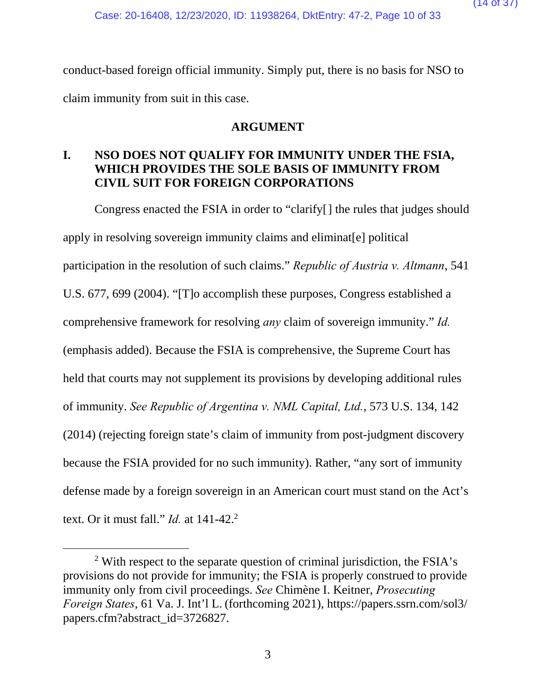conduct-based foreign official immunity. Simply put, there is no basis for NSO to claim immunity from suit in this case.

#### **ARGUMENT**

# **I. NSO DOES NOT QUALIFY FOR IMMUNITY UNDER THE FSIA, WHICH PROVIDES THE SOLE BASIS OF IMMUNITY FROM CIVIL SUIT FOR FOREIGN CORPORATIONS**

Congress enacted the FSIA in order to "clarify[] the rules that judges should apply in resolving sovereign immunity claims and eliminat[e] political participation in the resolution of such claims." *Republic of Austria v. Altmann*, 541 U.S. 677, 699 (2004). "[T]o accomplish these purposes, Congress established a comprehensive framework for resolving *any* claim of sovereign immunity." *Id.* (emphasis added). Because the FSIA is comprehensive, the Supreme Court has held that courts may not supplement its provisions by developing additional rules of immunity. *See Republic of Argentina v. NML Capital, Ltd.*, 573 U.S. 134, 142 (2014) (rejecting foreign state's claim of immunity from post-judgment discovery because the FSIA provided for no such immunity). Rather, "any sort of immunity defense made by a foreign sovereign in an American court must stand on the Act's text. Or it must fall." *Id.* at 141-42.<sup>2</sup>

 <sup>2</sup>  $\frac{2}{3}$  With respect to the separate question of criminal jurisdiction, the FSIA's provisions do not provide for immunity; the FSIA is properly construed to provide immunity only from civil proceedings. *See* Chimène I. Keitner, *Prosecuting Foreign States*, 61 Va. J. Int'l L. (forthcoming 2021), https://papers.ssrn.com/sol3/ papers.cfm?abstract\_id=3726827.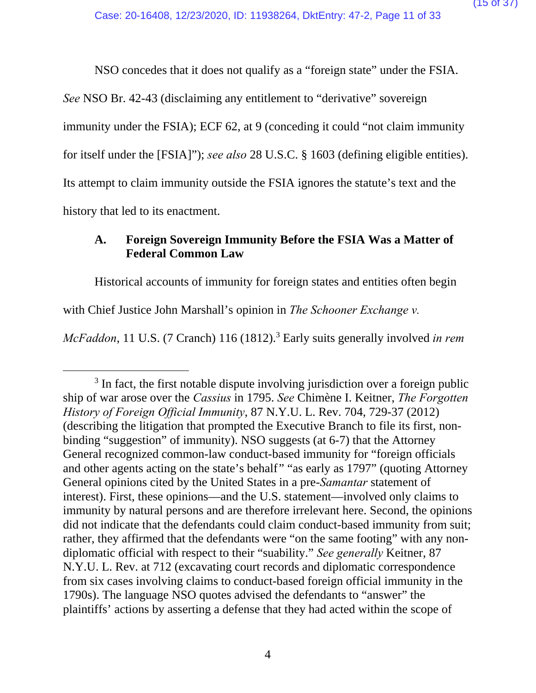NSO concedes that it does not qualify as a "foreign state" under the FSIA.

*See* NSO Br. 42-43 (disclaiming any entitlement to "derivative" sovereign

immunity under the FSIA); ECF 62, at 9 (conceding it could "not claim immunity

for itself under the [FSIA]"); *see also* 28 U.S.C. § 1603 (defining eligible entities).

Its attempt to claim immunity outside the FSIA ignores the statute's text and the

history that led to its enactment.

## **A. Foreign Sovereign Immunity Before the FSIA Was a Matter of Federal Common Law**

Historical accounts of immunity for foreign states and entities often begin

with Chief Justice John Marshall's opinion in *The Schooner Exchange v.* 

McFaddon, 11 U.S. (7 Cranch) 116 (1812).<sup>3</sup> Early suits generally involved *in rem* 

 $\frac{1}{3}$  $3$  In fact, the first notable dispute involving jurisdiction over a foreign public ship of war arose over the *Cassius* in 1795. *See* Chimène I. Keitner, *The Forgotten History of Foreign Official Immunity*, 87 N.Y.U. L. Rev. 704, 729-37 (2012) (describing the litigation that prompted the Executive Branch to file its first, nonbinding "suggestion" of immunity). NSO suggests (at 6-7) that the Attorney General recognized common-law conduct-based immunity for "foreign officials and other agents acting on the state's behalf" "as early as 1797" (quoting Attorney General opinions cited by the United States in a pre-*Samantar* statement of interest). First, these opinions—and the U.S. statement—involved only claims to immunity by natural persons and are therefore irrelevant here. Second, the opinions did not indicate that the defendants could claim conduct-based immunity from suit; rather, they affirmed that the defendants were "on the same footing" with any nondiplomatic official with respect to their "suability." *See generally* Keitner, 87 N.Y.U. L. Rev. at 712 (excavating court records and diplomatic correspondence from six cases involving claims to conduct-based foreign official immunity in the 1790s). The language NSO quotes advised the defendants to "answer" the plaintiffs' actions by asserting a defense that they had acted within the scope of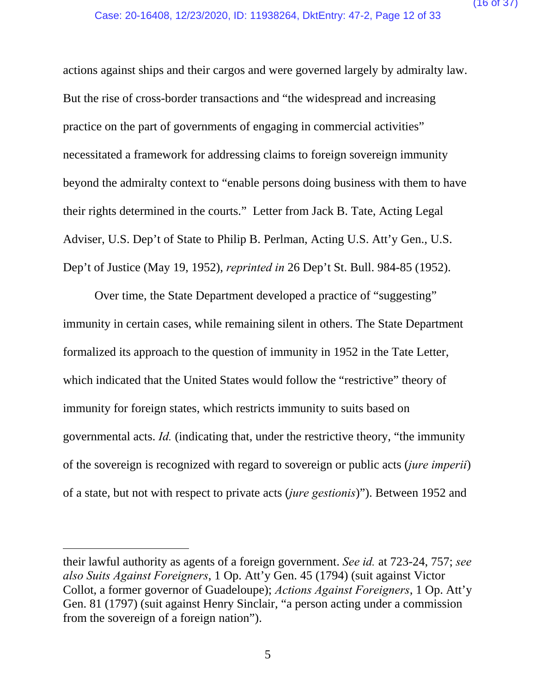actions against ships and their cargos and were governed largely by admiralty law. But the rise of cross-border transactions and "the widespread and increasing practice on the part of governments of engaging in commercial activities" necessitated a framework for addressing claims to foreign sovereign immunity beyond the admiralty context to "enable persons doing business with them to have their rights determined in the courts." Letter from Jack B. Tate, Acting Legal Adviser, U.S. Dep't of State to Philip B. Perlman, Acting U.S. Att'y Gen., U.S. Dep't of Justice (May 19, 1952), *reprinted in* 26 Dep't St. Bull. 984-85 (1952).

Over time, the State Department developed a practice of "suggesting" immunity in certain cases, while remaining silent in others. The State Department formalized its approach to the question of immunity in 1952 in the Tate Letter, which indicated that the United States would follow the "restrictive" theory of immunity for foreign states, which restricts immunity to suits based on governmental acts. *Id.* (indicating that, under the restrictive theory, "the immunity of the sovereign is recognized with regard to sovereign or public acts (*jure imperii*) of a state, but not with respect to private acts (*jure gestionis*)"). Between 1952 and

l

their lawful authority as agents of a foreign government. *See id.* at 723-24, 757; *see also Suits Against Foreigners*, 1 Op. Att'y Gen. 45 (1794) (suit against Victor Collot, a former governor of Guadeloupe); *Actions Against Foreigners*, 1 Op. Att'y Gen. 81 (1797) (suit against Henry Sinclair, "a person acting under a commission from the sovereign of a foreign nation").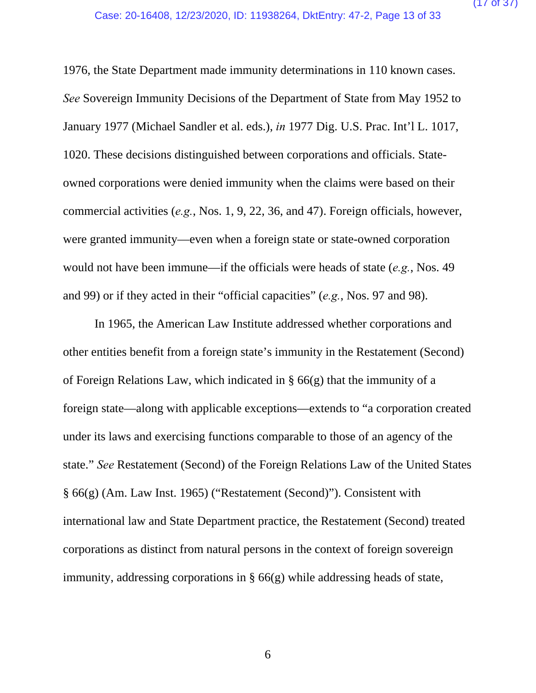1976, the State Department made immunity determinations in 110 known cases. *See* Sovereign Immunity Decisions of the Department of State from May 1952 to January 1977 (Michael Sandler et al. eds.), *in* 1977 Dig. U.S. Prac. Int'l L. 1017, 1020. These decisions distinguished between corporations and officials. Stateowned corporations were denied immunity when the claims were based on their commercial activities (*e.g.*, Nos. 1, 9, 22, 36, and 47). Foreign officials, however, were granted immunity—even when a foreign state or state-owned corporation would not have been immune—if the officials were heads of state (*e.g.*, Nos. 49 and 99) or if they acted in their "official capacities" (*e.g.*, Nos. 97 and 98).

In 1965, the American Law Institute addressed whether corporations and other entities benefit from a foreign state's immunity in the Restatement (Second) of Foreign Relations Law, which indicated in § 66(g) that the immunity of a foreign state—along with applicable exceptions—extends to "a corporation created under its laws and exercising functions comparable to those of an agency of the state." *See* Restatement (Second) of the Foreign Relations Law of the United States § 66(g) (Am. Law Inst. 1965) ("Restatement (Second)"). Consistent with international law and State Department practice, the Restatement (Second) treated corporations as distinct from natural persons in the context of foreign sovereign immunity, addressing corporations in § 66(g) while addressing heads of state,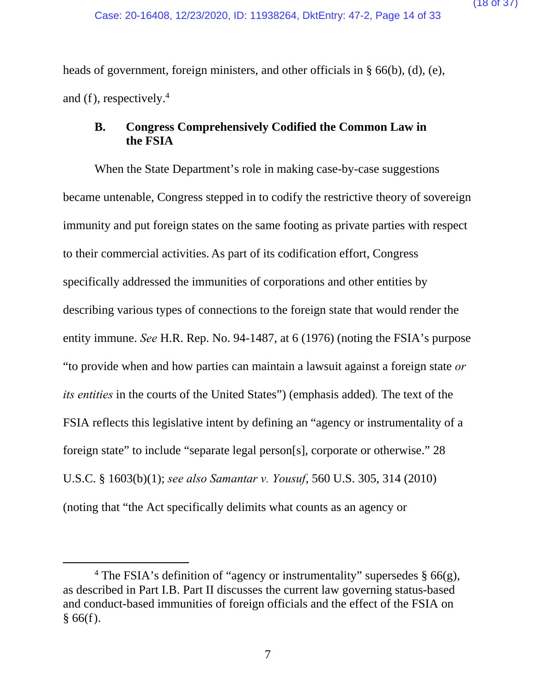heads of government, foreign ministers, and other officials in § 66(b), (d), (e), and (f), respectively. $4$ 

### **B. Congress Comprehensively Codified the Common Law in the FSIA**

When the State Department's role in making case-by-case suggestions became untenable, Congress stepped in to codify the restrictive theory of sovereign immunity and put foreign states on the same footing as private parties with respect to their commercial activities. As part of its codification effort, Congress specifically addressed the immunities of corporations and other entities by describing various types of connections to the foreign state that would render the entity immune. *See* H.R. Rep. No. 94-1487, at 6 (1976) (noting the FSIA's purpose "to provide when and how parties can maintain a lawsuit against a foreign state *or its entities* in the courts of the United States") (emphasis added)*.* The text of the FSIA reflects this legislative intent by defining an "agency or instrumentality of a foreign state" to include "separate legal person[s], corporate or otherwise." 28 U.S.C. § 1603(b)(1); *see also Samantar v. Yousuf*, 560 U.S. 305, 314 (2010) (noting that "the Act specifically delimits what counts as an agency or

 $\overline{\phantom{a}}$ <sup>4</sup> The FSIA's definition of "agency or instrumentality" supersedes  $\S$  66(g), as described in Part I.B. Part II discusses the current law governing status-based and conduct-based immunities of foreign officials and the effect of the FSIA on  $§ 66(f).$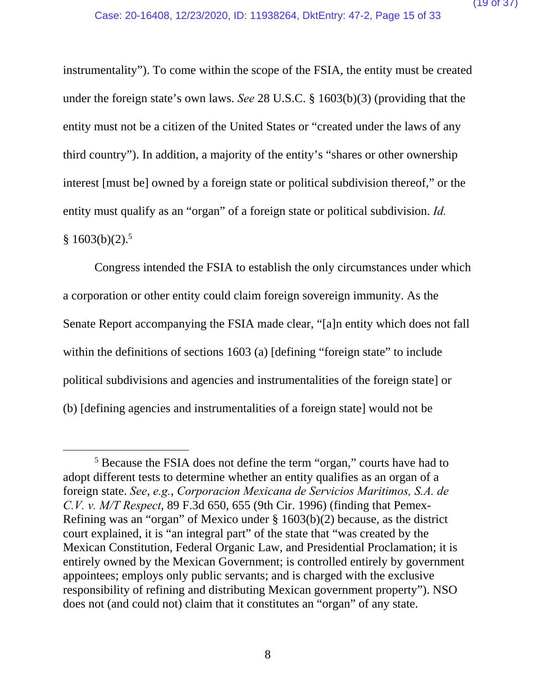instrumentality"). To come within the scope of the FSIA, the entity must be created under the foreign state's own laws. *See* 28 U.S.C. § 1603(b)(3) (providing that the entity must not be a citizen of the United States or "created under the laws of any third country"). In addition, a majority of the entity's "shares or other ownership interest [must be] owned by a foreign state or political subdivision thereof," or the entity must qualify as an "organ" of a foreign state or political subdivision. *Id.*  $§ 1603(b)(2).$ <sup>5</sup>

Congress intended the FSIA to establish the only circumstances under which a corporation or other entity could claim foreign sovereign immunity. As the Senate Report accompanying the FSIA made clear, "[a]n entity which does not fall within the definitions of sections 1603 (a) [defining "foreign state" to include political subdivisions and agencies and instrumentalities of the foreign state] or (b) [defining agencies and instrumentalities of a foreign state] would not be

 $\frac{1}{5}$ <sup>5</sup> Because the FSIA does not define the term "organ," courts have had to adopt different tests to determine whether an entity qualifies as an organ of a foreign state. *See*, *e.g.*, *Corporacion Mexicana de Servicios Maritimos, S.A. de C.V. v. M/T Respect*, 89 F.3d 650, 655 (9th Cir. 1996) (finding that Pemex-Refining was an "organ" of Mexico under § 1603(b)(2) because, as the district court explained, it is "an integral part" of the state that "was created by the Mexican Constitution, Federal Organic Law, and Presidential Proclamation; it is entirely owned by the Mexican Government; is controlled entirely by government appointees; employs only public servants; and is charged with the exclusive responsibility of refining and distributing Mexican government property"). NSO does not (and could not) claim that it constitutes an "organ" of any state.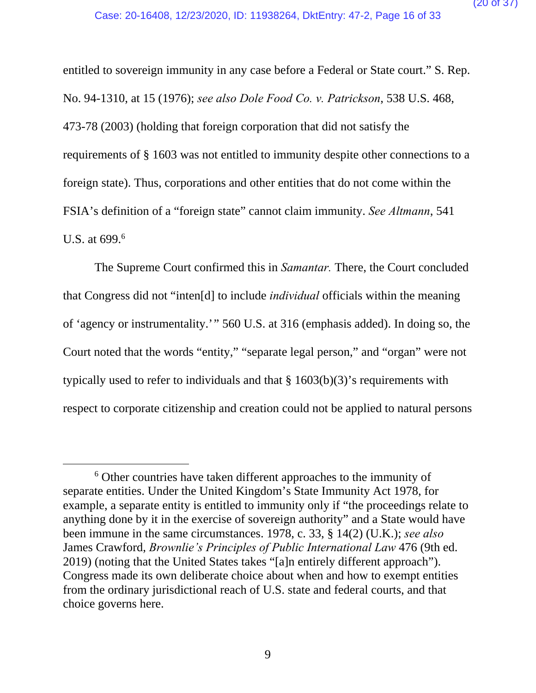entitled to sovereign immunity in any case before a Federal or State court." S. Rep. No. 94-1310, at 15 (1976); *see also Dole Food Co. v. Patrickson*, 538 U.S. 468, 473-78 (2003) (holding that foreign corporation that did not satisfy the requirements of § 1603 was not entitled to immunity despite other connections to a foreign state). Thus, corporations and other entities that do not come within the FSIA's definition of a "foreign state" cannot claim immunity. *See Altmann*, 541 U.S. at 699.<sup>6</sup>

The Supreme Court confirmed this in *Samantar.* There, the Court concluded that Congress did not "inten[d] to include *individual* officials within the meaning of 'agency or instrumentality.'" 560 U.S. at 316 (emphasis added). In doing so, the Court noted that the words "entity," "separate legal person," and "organ" were not typically used to refer to individuals and that § 1603(b)(3)'s requirements with respect to corporate citizenship and creation could not be applied to natural persons

 <sup>6</sup> Other countries have taken different approaches to the immunity of separate entities. Under the United Kingdom's State Immunity Act 1978, for example, a separate entity is entitled to immunity only if "the proceedings relate to anything done by it in the exercise of sovereign authority" and a State would have been immune in the same circumstances. 1978, c. 33, § 14(2) (U.K.); *see also* James Crawford, *Brownlie's Principles of Public International Law* 476 (9th ed. 2019) (noting that the United States takes "[a]n entirely different approach"). Congress made its own deliberate choice about when and how to exempt entities from the ordinary jurisdictional reach of U.S. state and federal courts, and that choice governs here.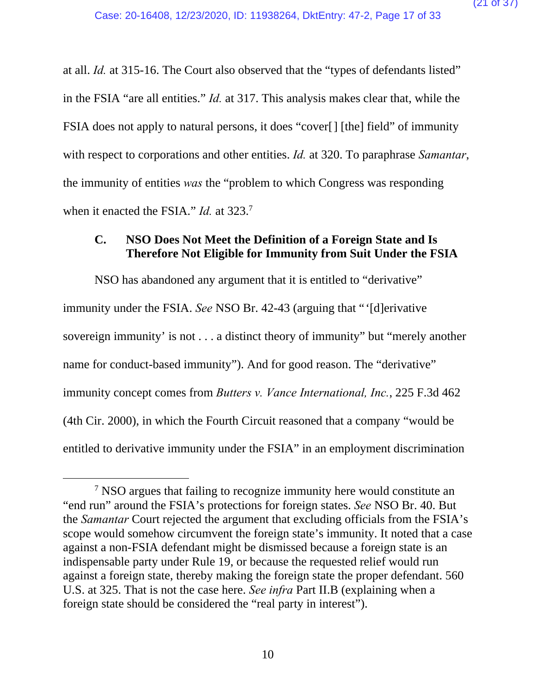at all. *Id.* at 315-16. The Court also observed that the "types of defendants listed" in the FSIA "are all entities." *Id.* at 317. This analysis makes clear that, while the FSIA does not apply to natural persons, it does "cover[] [the] field" of immunity with respect to corporations and other entities. *Id.* at 320. To paraphrase *Samantar*, the immunity of entities *was* the "problem to which Congress was responding when it enacted the FSIA." *Id.* at 323.7

### **C. NSO Does Not Meet the Definition of a Foreign State and Is Therefore Not Eligible for Immunity from Suit Under the FSIA**

NSO has abandoned any argument that it is entitled to "derivative" immunity under the FSIA. *See* NSO Br. 42-43 (arguing that "'[d]erivative sovereign immunity' is not . . . a distinct theory of immunity" but "merely another name for conduct-based immunity"). And for good reason. The "derivative" immunity concept comes from *Butters v. Vance International, Inc.*, 225 F.3d 462 (4th Cir. 2000), in which the Fourth Circuit reasoned that a company "would be entitled to derivative immunity under the FSIA" in an employment discrimination

 <sup>7</sup> <sup>7</sup> NSO argues that failing to recognize immunity here would constitute an "end run" around the FSIA's protections for foreign states. *See* NSO Br. 40. But the *Samantar* Court rejected the argument that excluding officials from the FSIA's scope would somehow circumvent the foreign state's immunity. It noted that a case against a non-FSIA defendant might be dismissed because a foreign state is an indispensable party under Rule 19, or because the requested relief would run against a foreign state, thereby making the foreign state the proper defendant. 560 U.S. at 325. That is not the case here. *See infra* Part II.B (explaining when a foreign state should be considered the "real party in interest").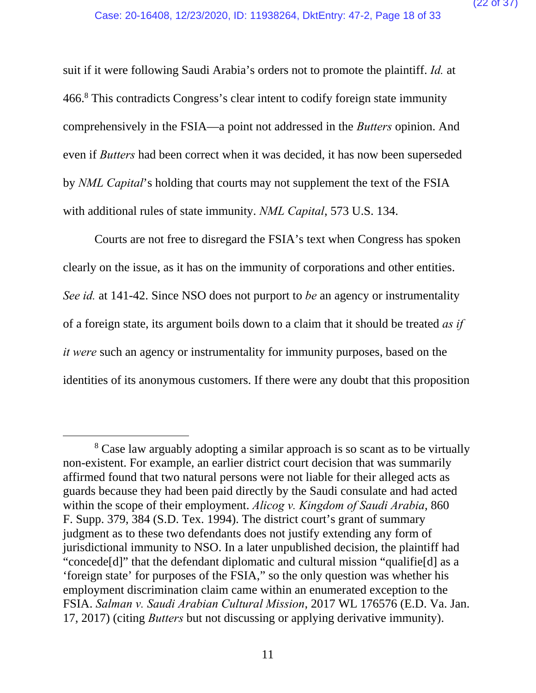suit if it were following Saudi Arabia's orders not to promote the plaintiff. *Id.* at 466.8 This contradicts Congress's clear intent to codify foreign state immunity comprehensively in the FSIA—a point not addressed in the *Butters* opinion. And even if *Butters* had been correct when it was decided, it has now been superseded by *NML Capital*'s holding that courts may not supplement the text of the FSIA with additional rules of state immunity. *NML Capital*, 573 U.S. 134.

Courts are not free to disregard the FSIA's text when Congress has spoken clearly on the issue, as it has on the immunity of corporations and other entities. *See id.* at 141-42. Since NSO does not purport to *be* an agency or instrumentality of a foreign state, its argument boils down to a claim that it should be treated *as if it were* such an agency or instrumentality for immunity purposes, based on the identities of its anonymous customers. If there were any doubt that this proposition

 <sup>8</sup> <sup>8</sup> Case law arguably adopting a similar approach is so scant as to be virtually non-existent. For example, an earlier district court decision that was summarily affirmed found that two natural persons were not liable for their alleged acts as guards because they had been paid directly by the Saudi consulate and had acted within the scope of their employment. *Alicog v. Kingdom of Saudi Arabia*, 860 F. Supp. 379, 384 (S.D. Tex. 1994). The district court's grant of summary judgment as to these two defendants does not justify extending any form of jurisdictional immunity to NSO. In a later unpublished decision, the plaintiff had "concede[d]" that the defendant diplomatic and cultural mission "qualifie[d] as a 'foreign state' for purposes of the FSIA," so the only question was whether his employment discrimination claim came within an enumerated exception to the FSIA. *Salman v. Saudi Arabian Cultural Mission*, 2017 WL 176576 (E.D. Va. Jan. 17, 2017) (citing *Butters* but not discussing or applying derivative immunity).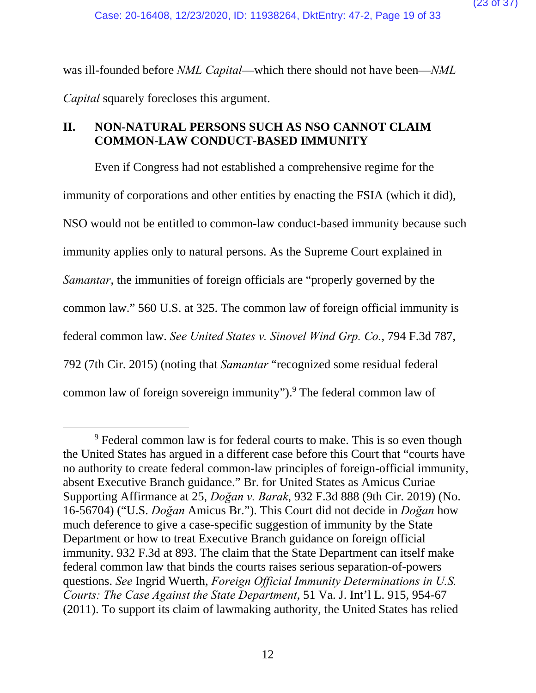was ill-founded before *NML Capital*—which there should not have been—*NML Capital* squarely forecloses this argument.

# **II. NON-NATURAL PERSONS SUCH AS NSO CANNOT CLAIM COMMON-LAW CONDUCT-BASED IMMUNITY**

Even if Congress had not established a comprehensive regime for the immunity of corporations and other entities by enacting the FSIA (which it did), NSO would not be entitled to common-law conduct-based immunity because such immunity applies only to natural persons. As the Supreme Court explained in *Samantar*, the immunities of foreign officials are "properly governed by the common law." 560 U.S. at 325. The common law of foreign official immunity is federal common law. *See United States v. Sinovel Wind Grp. Co.*, 794 F.3d 787, 792 (7th Cir. 2015) (noting that *Samantar* "recognized some residual federal common law of foreign sovereign immunity").<sup>9</sup> The federal common law of

 $\frac{1}{9}$ <sup>9</sup> Federal common law is for federal courts to make. This is so even though the United States has argued in a different case before this Court that "courts have no authority to create federal common-law principles of foreign-official immunity, absent Executive Branch guidance." Br. for United States as Amicus Curiae Supporting Affirmance at 25, *Doğan v. Barak*, 932 F.3d 888 (9th Cir. 2019) (No. 16-56704) ("U.S. *Doğan* Amicus Br."). This Court did not decide in *Doğan* how much deference to give a case-specific suggestion of immunity by the State Department or how to treat Executive Branch guidance on foreign official immunity. 932 F.3d at 893. The claim that the State Department can itself make federal common law that binds the courts raises serious separation-of-powers questions. *See* Ingrid Wuerth, *Foreign Official Immunity Determinations in U.S. Courts: The Case Against the State Department*, 51 Va. J. Int'l L. 915, 954-67 (2011). To support its claim of lawmaking authority, the United States has relied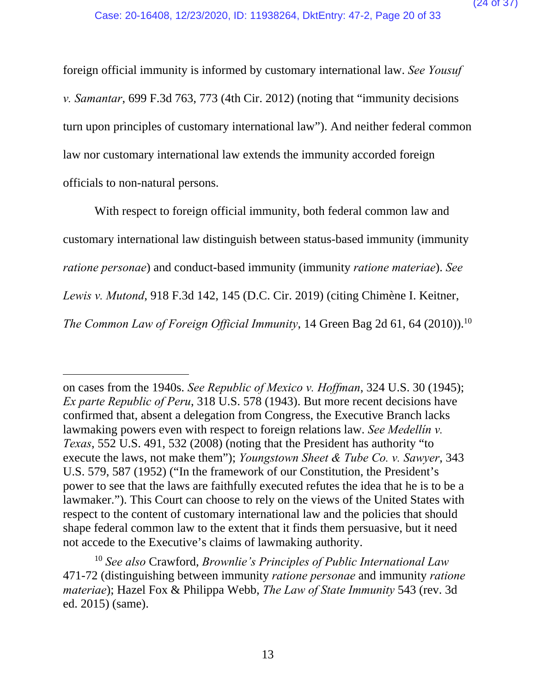foreign official immunity is informed by customary international law. *See Yousuf v. Samantar*, 699 F.3d 763, 773 (4th Cir. 2012) (noting that "immunity decisions turn upon principles of customary international law"). And neither federal common law nor customary international law extends the immunity accorded foreign officials to non-natural persons.

With respect to foreign official immunity, both federal common law and customary international law distinguish between status-based immunity (immunity *ratione personae*) and conduct-based immunity (immunity *ratione materiae*). *See Lewis v. Mutond*, 918 F.3d 142, 145 (D.C. Cir. 2019) (citing Chimène I. Keitner, *The Common Law of Foreign Official Immunity*, 14 Green Bag 2d 61, 64 (2010)).<sup>10</sup>

 $\overline{a}$ 

on cases from the 1940s. *See Republic of Mexico v. Hoffman*, 324 U.S. 30 (1945); *Ex parte Republic of Peru*, 318 U.S. 578 (1943). But more recent decisions have confirmed that, absent a delegation from Congress, the Executive Branch lacks lawmaking powers even with respect to foreign relations law. *See Medellín v. Texas*, 552 U.S. 491, 532 (2008) (noting that the President has authority "to execute the laws, not make them"); *Youngstown Sheet & Tube Co. v. Sawyer*, 343 U.S. 579, 587 (1952) ("In the framework of our Constitution, the President's power to see that the laws are faithfully executed refutes the idea that he is to be a lawmaker."). This Court can choose to rely on the views of the United States with respect to the content of customary international law and the policies that should shape federal common law to the extent that it finds them persuasive, but it need not accede to the Executive's claims of lawmaking authority.

<sup>10</sup> *See also* Crawford, *Brownlie's Principles of Public International Law* 471-72 (distinguishing between immunity *ratione personae* and immunity *ratione materiae*); Hazel Fox & Philippa Webb, *The Law of State Immunity* 543 (rev. 3d ed. 2015) (same).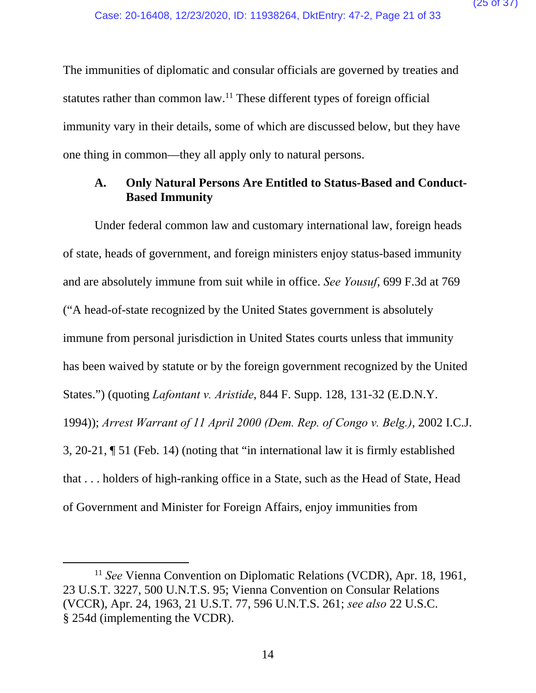The immunities of diplomatic and consular officials are governed by treaties and statutes rather than common law.<sup>11</sup> These different types of foreign official immunity vary in their details, some of which are discussed below, but they have one thing in common—they all apply only to natural persons.

### **A. Only Natural Persons Are Entitled to Status-Based and Conduct-Based Immunity**

Under federal common law and customary international law, foreign heads of state, heads of government, and foreign ministers enjoy status-based immunity and are absolutely immune from suit while in office. *See Yousuf*, 699 F.3d at 769 ("A head-of-state recognized by the United States government is absolutely immune from personal jurisdiction in United States courts unless that immunity has been waived by statute or by the foreign government recognized by the United States.") (quoting *Lafontant v. Aristide*, 844 F. Supp. 128, 131-32 (E.D.N.Y. 1994)); *Arrest Warrant of 11 April 2000 (Dem. Rep. of Congo v. Belg.)*, 2002 I.C.J. 3, 20-21, ¶ 51 (Feb. 14) (noting that "in international law it is firmly established that . . . holders of high-ranking office in a State, such as the Head of State, Head of Government and Minister for Foreign Affairs, enjoy immunities from

<sup>&</sup>lt;sup>11</sup> See Vienna Convention on Diplomatic Relations (VCDR), Apr. 18, 1961, 23 U.S.T. 3227, 500 U.N.T.S. 95; Vienna Convention on Consular Relations (VCCR), Apr. 24, 1963, 21 U.S.T. 77, 596 U.N.T.S. 261; *see also* 22 U.S.C. § 254d (implementing the VCDR).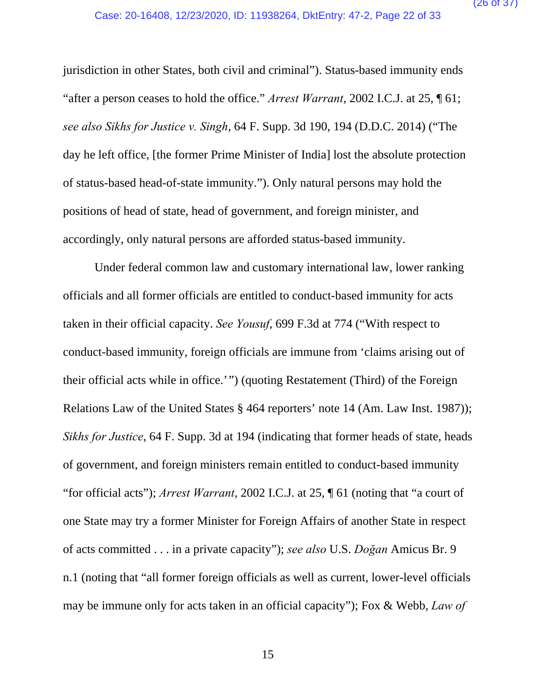jurisdiction in other States, both civil and criminal"). Status-based immunity ends "after a person ceases to hold the office." *Arrest Warrant*, 2002 I.C.J. at 25, ¶ 61; *see also Sikhs for Justice v. Singh*, 64 F. Supp. 3d 190, 194 (D.D.C. 2014) ("The day he left office, [the former Prime Minister of India] lost the absolute protection of status-based head-of-state immunity."). Only natural persons may hold the positions of head of state, head of government, and foreign minister, and accordingly, only natural persons are afforded status-based immunity.

Under federal common law and customary international law, lower ranking officials and all former officials are entitled to conduct-based immunity for acts taken in their official capacity. *See Yousuf*, 699 F.3d at 774 ("With respect to conduct-based immunity, foreign officials are immune from 'claims arising out of their official acts while in office.'") (quoting Restatement (Third) of the Foreign Relations Law of the United States § 464 reporters' note 14 (Am. Law Inst. 1987)); *Sikhs for Justice*, 64 F. Supp. 3d at 194 (indicating that former heads of state, heads of government, and foreign ministers remain entitled to conduct-based immunity "for official acts"); *Arrest Warrant*, 2002 I.C.J. at 25, ¶ 61 (noting that "a court of one State may try a former Minister for Foreign Affairs of another State in respect of acts committed . . . in a private capacity"); *see also* U.S. *Doğan* Amicus Br. 9 n.1 (noting that "all former foreign officials as well as current, lower-level officials may be immune only for acts taken in an official capacity"); Fox & Webb, *Law of*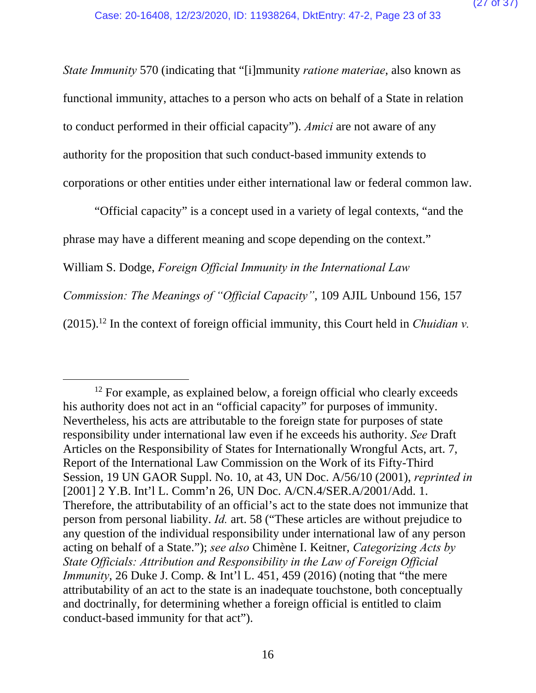*State Immunity* 570 (indicating that "[i]mmunity *ratione materiae*, also known as functional immunity, attaches to a person who acts on behalf of a State in relation to conduct performed in their official capacity"). *Amici* are not aware of any authority for the proposition that such conduct-based immunity extends to corporations or other entities under either international law or federal common law.

"Official capacity" is a concept used in a variety of legal contexts, "and the phrase may have a different meaning and scope depending on the context." William S. Dodge, *Foreign Official Immunity in the International Law Commission: The Meanings of "Official Capacity"*, 109 AJIL Unbound 156, 157  $(2015).$ <sup>12</sup> In the context of foreign official immunity, this Court held in *Chuidian v*.

 $12$  For example, as explained below, a foreign official who clearly exceeds his authority does not act in an "official capacity" for purposes of immunity. Nevertheless, his acts are attributable to the foreign state for purposes of state responsibility under international law even if he exceeds his authority. *See* Draft Articles on the Responsibility of States for Internationally Wrongful Acts, art. 7, Report of the International Law Commission on the Work of its Fifty-Third Session, 19 UN GAOR Suppl. No. 10, at 43, UN Doc. A/56/10 (2001), *reprinted in*  [2001] 2 Y.B. Int'l L. Comm'n 26, UN Doc. A/CN.4/SER.A/2001/Add. 1. Therefore, the attributability of an official's act to the state does not immunize that person from personal liability. *Id.* art. 58 ("These articles are without prejudice to any question of the individual responsibility under international law of any person acting on behalf of a State."); *see also* Chimène I. Keitner, *Categorizing Acts by State Officials: Attribution and Responsibility in the Law of Foreign Official Immunity*, 26 Duke J. Comp. & Int'l L. 451, 459 (2016) (noting that "the mere attributability of an act to the state is an inadequate touchstone, both conceptually and doctrinally, for determining whether a foreign official is entitled to claim conduct-based immunity for that act").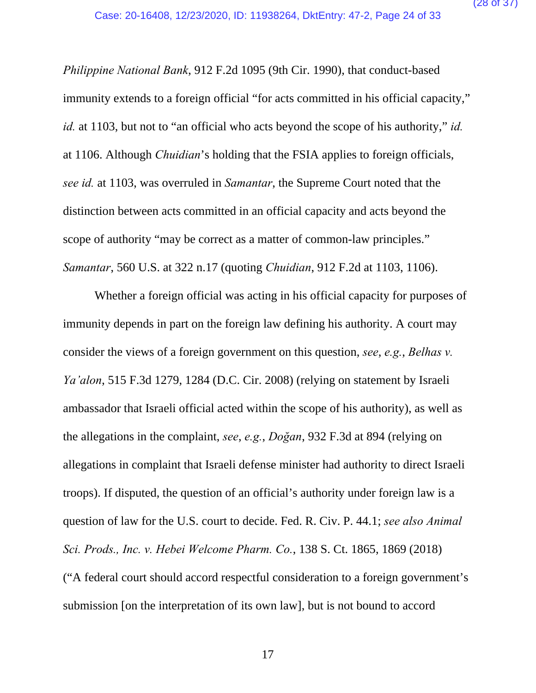*Philippine National Bank*, 912 F.2d 1095 (9th Cir. 1990), that conduct-based immunity extends to a foreign official "for acts committed in his official capacity," *id.* at 1103, but not to "an official who acts beyond the scope of his authority," *id.* at 1106. Although *Chuidian*'s holding that the FSIA applies to foreign officials, *see id.* at 1103, was overruled in *Samantar*, the Supreme Court noted that the distinction between acts committed in an official capacity and acts beyond the scope of authority "may be correct as a matter of common-law principles." *Samantar*, 560 U.S. at 322 n.17 (quoting *Chuidian*, 912 F.2d at 1103, 1106).

Whether a foreign official was acting in his official capacity for purposes of immunity depends in part on the foreign law defining his authority. A court may consider the views of a foreign government on this question, *see*, *e.g.*, *Belhas v. Ya'alon*, 515 F.3d 1279, 1284 (D.C. Cir. 2008) (relying on statement by Israeli ambassador that Israeli official acted within the scope of his authority), as well as the allegations in the complaint, *see*, *e.g.*, *Doğan*, 932 F.3d at 894 (relying on allegations in complaint that Israeli defense minister had authority to direct Israeli troops). If disputed, the question of an official's authority under foreign law is a question of law for the U.S. court to decide. Fed. R. Civ. P. 44.1; *see also Animal Sci. Prods., Inc. v. Hebei Welcome Pharm. Co.*, 138 S. Ct. 1865, 1869 (2018) ("A federal court should accord respectful consideration to a foreign government's submission [on the interpretation of its own law], but is not bound to accord

17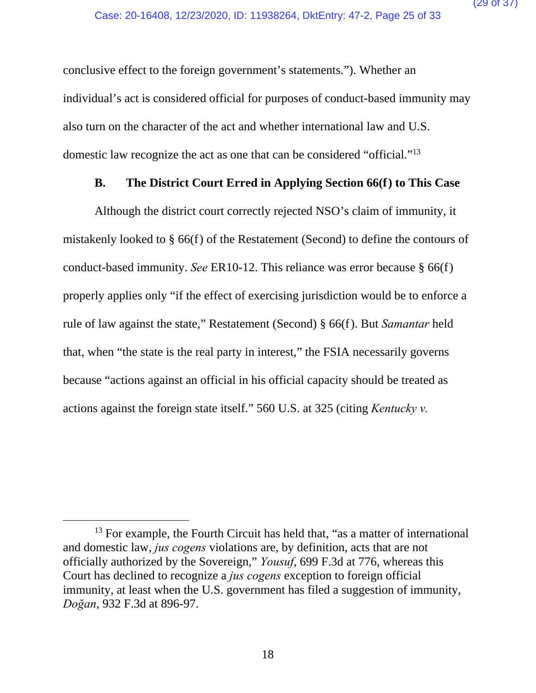conclusive effect to the foreign government's statements."). Whether an individual's act is considered official for purposes of conduct-based immunity may also turn on the character of the act and whether international law and U.S. domestic law recognize the act as one that can be considered "official."13

#### **B. The District Court Erred in Applying Section 66(f) to This Case**

Although the district court correctly rejected NSO's claim of immunity, it mistakenly looked to § 66(f) of the Restatement (Second) to define the contours of conduct-based immunity. *See* ER10-12. This reliance was error because § 66(f) properly applies only "if the effect of exercising jurisdiction would be to enforce a rule of law against the state," Restatement (Second) § 66(f). But *Samantar* held that, when "the state is the real party in interest," the FSIA necessarily governs because "actions against an official in his official capacity should be treated as actions against the foreign state itself." 560 U.S. at 325 (citing *Kentucky v.* 

<sup>&</sup>lt;sup>13</sup> For example, the Fourth Circuit has held that, "as a matter of international and domestic law, *jus cogens* violations are, by definition, acts that are not officially authorized by the Sovereign," *Yousuf*, 699 F.3d at 776, whereas this Court has declined to recognize a *jus cogens* exception to foreign official immunity, at least when the U.S. government has filed a suggestion of immunity, *Doğan*, 932 F.3d at 896-97.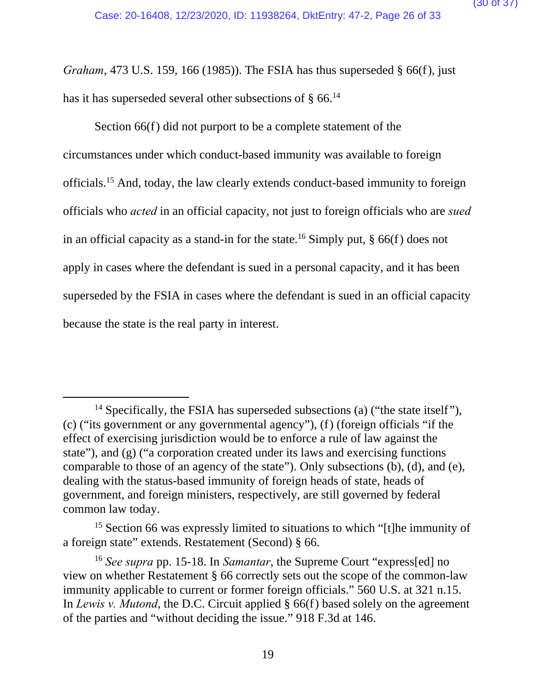*Graham*, 473 U.S. 159, 166 (1985)). The FSIA has thus superseded § 66(f), just has it has superseded several other subsections of  $\S$  66.<sup>14</sup>

Section 66(f) did not purport to be a complete statement of the circumstances under which conduct-based immunity was available to foreign officials.15 And, today, the law clearly extends conduct-based immunity to foreign officials who *acted* in an official capacity, not just to foreign officials who are *sued* in an official capacity as a stand-in for the state.<sup>16</sup> Simply put,  $\S$  66(f) does not apply in cases where the defendant is sued in a personal capacity, and it has been superseded by the FSIA in cases where the defendant is sued in an official capacity because the state is the real party in interest.

<sup>&</sup>lt;sup>14</sup> Specifically, the FSIA has superseded subsections (a) ("the state itself"), (c) ("its government or any governmental agency"), (f) (foreign officials "if the effect of exercising jurisdiction would be to enforce a rule of law against the state"), and (g) ("a corporation created under its laws and exercising functions comparable to those of an agency of the state"). Only subsections (b), (d), and (e), dealing with the status-based immunity of foreign heads of state, heads of government, and foreign ministers, respectively, are still governed by federal common law today.

<sup>&</sup>lt;sup>15</sup> Section 66 was expressly limited to situations to which "[t]he immunity of a foreign state" extends. Restatement (Second) § 66.

<sup>16</sup> *See supra* pp. 15-18. In *Samantar*, the Supreme Court "express[ed] no view on whether Restatement § 66 correctly sets out the scope of the common-law immunity applicable to current or former foreign officials." 560 U.S. at 321 n.15. In *Lewis v. Mutond*, the D.C. Circuit applied § 66(f) based solely on the agreement of the parties and "without deciding the issue." 918 F.3d at 146.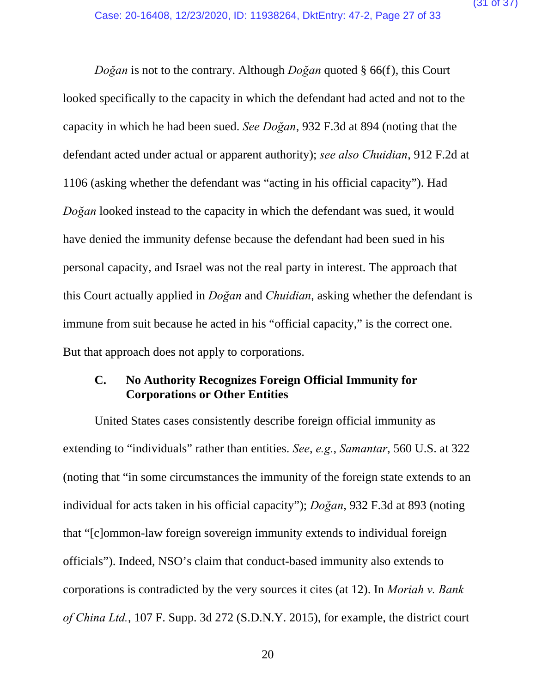*Doğan* is not to the contrary. Although *Doğan* quoted § 66(f), this Court looked specifically to the capacity in which the defendant had acted and not to the capacity in which he had been sued. *See Doğan*, 932 F.3d at 894 (noting that the defendant acted under actual or apparent authority); *see also Chuidian*, 912 F.2d at 1106 (asking whether the defendant was "acting in his official capacity"). Had *Doğan* looked instead to the capacity in which the defendant was sued, it would have denied the immunity defense because the defendant had been sued in his personal capacity, and Israel was not the real party in interest. The approach that this Court actually applied in *Doğan* and *Chuidian*, asking whether the defendant is immune from suit because he acted in his "official capacity," is the correct one. But that approach does not apply to corporations.

#### **C. No Authority Recognizes Foreign Official Immunity for Corporations or Other Entities**

United States cases consistently describe foreign official immunity as extending to "individuals" rather than entities. *See*, *e.g.*, *Samantar*, 560 U.S. at 322 (noting that "in some circumstances the immunity of the foreign state extends to an individual for acts taken in his official capacity"); *Doğan*, 932 F.3d at 893 (noting that "[c]ommon-law foreign sovereign immunity extends to individual foreign officials"). Indeed, NSO's claim that conduct-based immunity also extends to corporations is contradicted by the very sources it cites (at 12). In *Moriah v. Bank of China Ltd.*, 107 F. Supp. 3d 272 (S.D.N.Y. 2015), for example, the district court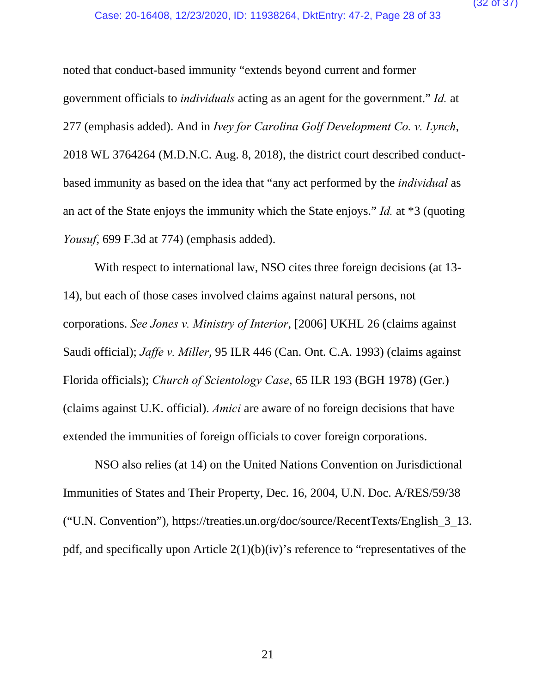noted that conduct-based immunity "extends beyond current and former government officials to *individuals* acting as an agent for the government." *Id.* at 277 (emphasis added). And in *Ivey for Carolina Golf Development Co. v. Lynch*, 2018 WL 3764264 (M.D.N.C. Aug. 8, 2018), the district court described conductbased immunity as based on the idea that "any act performed by the *individual* as an act of the State enjoys the immunity which the State enjoys." *Id.* at \*3 (quoting *Yousuf*, 699 F.3d at 774) (emphasis added).

With respect to international law, NSO cites three foreign decisions (at 13- 14), but each of those cases involved claims against natural persons, not corporations. *See Jones v. Ministry of Interior*, [2006] UKHL 26 (claims against Saudi official); *Jaffe v. Miller*, 95 ILR 446 (Can. Ont. C.A. 1993) (claims against Florida officials); *Church of Scientology Case*, 65 ILR 193 (BGH 1978) (Ger.) (claims against U.K. official). *Amici* are aware of no foreign decisions that have extended the immunities of foreign officials to cover foreign corporations.

NSO also relies (at 14) on the United Nations Convention on Jurisdictional Immunities of States and Their Property, Dec. 16, 2004, U.N. Doc. A/RES/59/38 ("U.N. Convention"), https://treaties.un.org/doc/source/RecentTexts/English\_3\_13. pdf, and specifically upon Article  $2(1)(b)(iv)$ 's reference to "representatives of the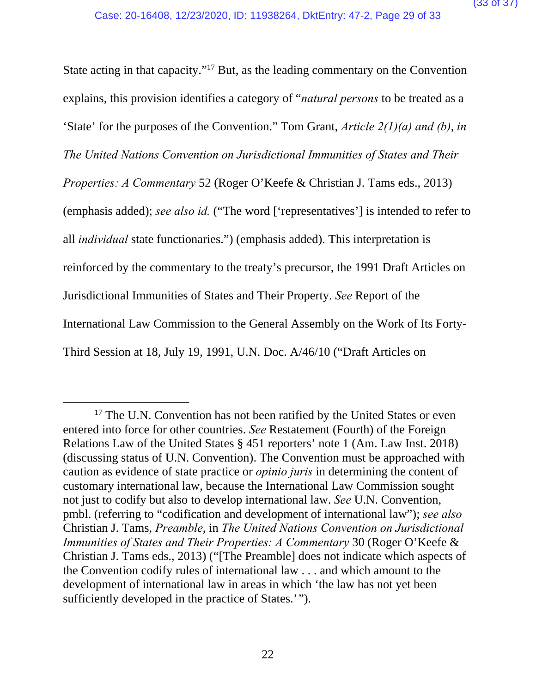State acting in that capacity."17 But, as the leading commentary on the Convention explains, this provision identifies a category of "*natural persons* to be treated as a 'State' for the purposes of the Convention." Tom Grant, *Article 2(1)(a) and (b)*, *in The United Nations Convention on Jurisdictional Immunities of States and Their Properties: A Commentary* 52 (Roger O'Keefe & Christian J. Tams eds., 2013) (emphasis added); *see also id.* ("The word ['representatives'] is intended to refer to all *individual* state functionaries.") (emphasis added). This interpretation is reinforced by the commentary to the treaty's precursor, the 1991 Draft Articles on Jurisdictional Immunities of States and Their Property. *See* Report of the International Law Commission to the General Assembly on the Work of Its Forty-Third Session at 18, July 19, 1991, U.N. Doc. A/46/10 ("Draft Articles on

<sup>&</sup>lt;sup>17</sup> The U.N. Convention has not been ratified by the United States or even entered into force for other countries. *See* Restatement (Fourth) of the Foreign Relations Law of the United States § 451 reporters' note 1 (Am. Law Inst. 2018) (discussing status of U.N. Convention). The Convention must be approached with caution as evidence of state practice or *opinio juris* in determining the content of customary international law, because the International Law Commission sought not just to codify but also to develop international law. *See* U.N. Convention, pmbl. (referring to "codification and development of international law"); *see also* Christian J. Tams, *Preamble*, in *The United Nations Convention on Jurisdictional Immunities of States and Their Properties: A Commentary* 30 (Roger O'Keefe & Christian J. Tams eds., 2013) ("[The Preamble] does not indicate which aspects of the Convention codify rules of international law . . . and which amount to the development of international law in areas in which 'the law has not yet been sufficiently developed in the practice of States.'").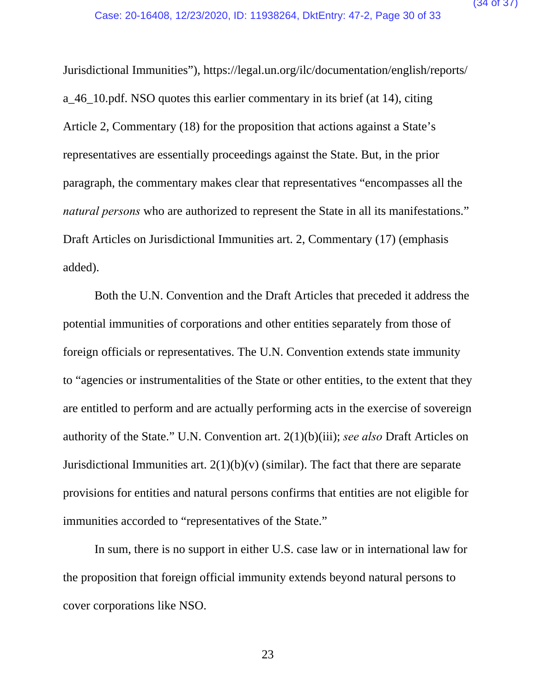Jurisdictional Immunities"), https://legal.un.org/ilc/documentation/english/reports/ a\_46\_10.pdf. NSO quotes this earlier commentary in its brief (at 14), citing Article 2, Commentary (18) for the proposition that actions against a State's representatives are essentially proceedings against the State. But, in the prior paragraph, the commentary makes clear that representatives "encompasses all the *natural persons* who are authorized to represent the State in all its manifestations." Draft Articles on Jurisdictional Immunities art. 2, Commentary (17) (emphasis added).

Both the U.N. Convention and the Draft Articles that preceded it address the potential immunities of corporations and other entities separately from those of foreign officials or representatives. The U.N. Convention extends state immunity to "agencies or instrumentalities of the State or other entities, to the extent that they are entitled to perform and are actually performing acts in the exercise of sovereign authority of the State." U.N. Convention art. 2(1)(b)(iii); *see also* Draft Articles on Jurisdictional Immunities art.  $2(1)(b)(v)$  (similar). The fact that there are separate provisions for entities and natural persons confirms that entities are not eligible for immunities accorded to "representatives of the State."

In sum, there is no support in either U.S. case law or in international law for the proposition that foreign official immunity extends beyond natural persons to cover corporations like NSO.

23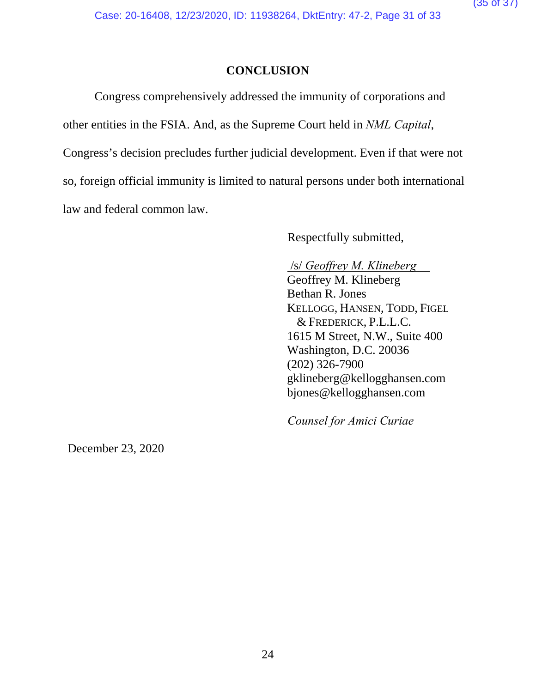# **CONCLUSION**

Congress comprehensively addressed the immunity of corporations and other entities in the FSIA. And, as the Supreme Court held in *NML Capital*, Congress's decision precludes further judicial development. Even if that were not so, foreign official immunity is limited to natural persons under both international law and federal common law.

Respectfully submitted,

### /s/ *Geoffrey M. Klineberg*

Geoffrey M. Klineberg Bethan R. Jones KELLOGG, HANSEN, TODD, FIGEL & FREDERICK, P.L.L.C. 1615 M Street, N.W., Suite 400 Washington, D.C. 20036 (202) 326-7900 gklineberg@kellogghansen.com bjones@kellogghansen.com

*Counsel for Amici Curiae*

December 23, 2020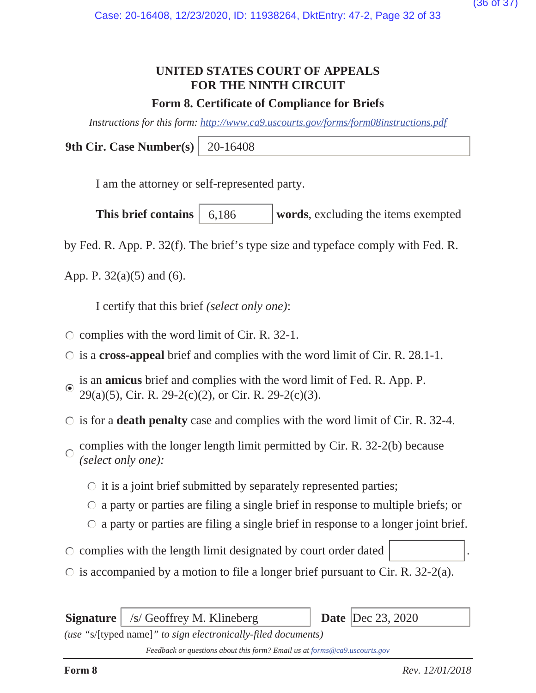# **UNITED STATES COURT OF APPEALS FOR THE NINTH CIRCUIT**

# **Form 8. Certificate of Compliance for Briefs**

*Instructions for this form: http://www.ca9.uscourts.gov/forms/form08instructions.pdf*

**9th Cir. Case Number(s)** 20-16408

I am the attorney or self-represented party.

**This brief contains** 6,186 words, excluding the items exempted 6,186

by Fed. R. App. P. 32(f). The brief's type size and typeface comply with Fed. R.

App. P. 32(a)(5) and (6).

I certify that this brief *(select only one)*:

- $\circ$  complies with the word limit of Cir. R. 32-1.
- is a **cross-appeal** brief and complies with the word limit of Cir. R. 28.1-1.
- is an **amicus** brief and complies with the word limit of Fed. R. App. P. 29(a)(5), Cir. R. 29-2(c)(2), or Cir. R. 29-2(c)(3).
- is for a **death penalty** case and complies with the word limit of Cir. R. 32-4.
- complies with the longer length limit permitted by Cir. R. 32-2(b) because  $\bigcap$ *(select only one):*
	- $\circ$  it is a joint brief submitted by separately represented parties;
	- a party or parties are filing a single brief in response to multiple briefs; or
	- $\circ$  a party or parties are filing a single brief in response to a longer joint brief.
- $\circ$  complies with the length limit designated by court order dated
- $\circ$  is accompanied by a motion to file a longer brief pursuant to Cir. R. 32-2(a).

**Signature** | /s/ Geoffrey M. Klineberg **Date** | Dec 23, 2020

*(use "*s/[typed name]*" to sign electronically-filed documents)*

*Feedback or questions about this form? Email us at forms@ca9.uscourts.gov*